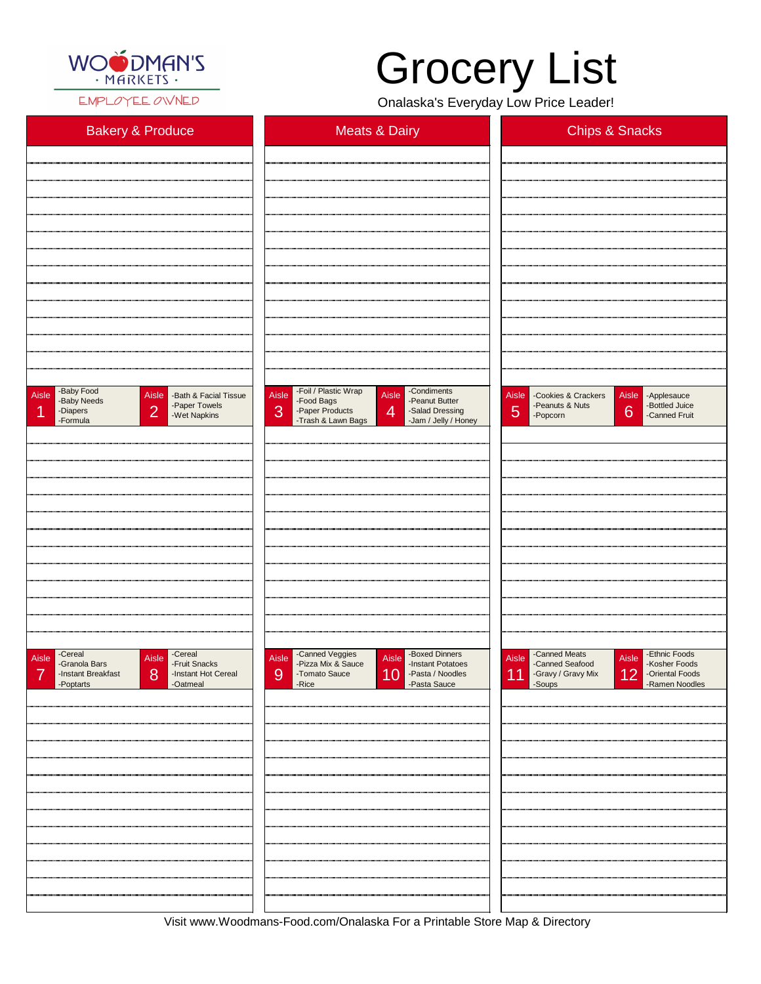

EMPLOYEE OWNED

Visit www.Woodmans-Food.com/Onalaska For a Printable Store Map & Directory

| <b>Bakery &amp; Produce</b>                                                                                                          | <b>Meats &amp; Dairy</b>                                                                                                                                                                         | <b>Chips &amp; Snacks</b>                                                                                                   |  |  |  |
|--------------------------------------------------------------------------------------------------------------------------------------|--------------------------------------------------------------------------------------------------------------------------------------------------------------------------------------------------|-----------------------------------------------------------------------------------------------------------------------------|--|--|--|
|                                                                                                                                      |                                                                                                                                                                                                  |                                                                                                                             |  |  |  |
|                                                                                                                                      |                                                                                                                                                                                                  |                                                                                                                             |  |  |  |
|                                                                                                                                      |                                                                                                                                                                                                  |                                                                                                                             |  |  |  |
|                                                                                                                                      |                                                                                                                                                                                                  |                                                                                                                             |  |  |  |
|                                                                                                                                      |                                                                                                                                                                                                  |                                                                                                                             |  |  |  |
|                                                                                                                                      |                                                                                                                                                                                                  |                                                                                                                             |  |  |  |
|                                                                                                                                      |                                                                                                                                                                                                  |                                                                                                                             |  |  |  |
|                                                                                                                                      |                                                                                                                                                                                                  |                                                                                                                             |  |  |  |
|                                                                                                                                      |                                                                                                                                                                                                  |                                                                                                                             |  |  |  |
| -Baby Food<br>Aisle<br>Aisle<br>-Bath & Facial Tissue<br>-Baby Needs<br>-Paper Towels<br> 2 <br>-Diapers<br>-Wet Napkins<br>-Formula | -Foil / Plastic Wrap<br>-Condiments<br>Aisle<br>Aisle<br>-Peanut Butter<br>-Food Bags<br>3<br>$\overline{4}$<br>-Paper Products<br>-Salad Dressing<br>-Trash & Lawn Bags<br>-Jam / Jelly / Honey | Aisle - Cookies & Crackers<br>Aisle -Applesauce<br>-Bottled Juice<br>-Peanuts & Nuts<br>6<br>5<br>-Canned Fruit<br>-Popcorn |  |  |  |
|                                                                                                                                      |                                                                                                                                                                                                  |                                                                                                                             |  |  |  |
|                                                                                                                                      |                                                                                                                                                                                                  |                                                                                                                             |  |  |  |
|                                                                                                                                      |                                                                                                                                                                                                  |                                                                                                                             |  |  |  |
|                                                                                                                                      |                                                                                                                                                                                                  |                                                                                                                             |  |  |  |
|                                                                                                                                      |                                                                                                                                                                                                  |                                                                                                                             |  |  |  |
|                                                                                                                                      |                                                                                                                                                                                                  |                                                                                                                             |  |  |  |
|                                                                                                                                      |                                                                                                                                                                                                  |                                                                                                                             |  |  |  |
|                                                                                                                                      |                                                                                                                                                                                                  |                                                                                                                             |  |  |  |
| -Cereal<br>-Cereal<br>Aisle<br>Aisle<br>-Fruit Snacks                                                                                | -Canned Veggies<br>-Boxed Dinners<br>Aisle<br>Aisle<br>-Pizza Mix & Sauce                                                                                                                        | -Canned Meats<br>-Ethnic Foods<br><b>Aisle</b><br>Aisle                                                                     |  |  |  |

| -Instant Breakfast<br>8<br>-Poptarts | -Instant Hot Cereal<br>-Oatmeal | 9 | -Tomato Sauce<br>-Rice | 10 | -Pasta / Noodles<br>-Pasta Sauce | 11 | -Gravy / Gravy Mix<br>-Soups | $12$ | -Oriental Foods<br>-Ramen Noodles |
|--------------------------------------|---------------------------------|---|------------------------|----|----------------------------------|----|------------------------------|------|-----------------------------------|
|                                      |                                 |   |                        |    |                                  |    |                              |      |                                   |
|                                      |                                 |   |                        |    |                                  |    |                              |      |                                   |
|                                      |                                 |   |                        |    |                                  |    |                              |      |                                   |
|                                      |                                 |   |                        |    |                                  |    |                              |      |                                   |
|                                      |                                 |   |                        |    |                                  |    |                              |      |                                   |
|                                      |                                 |   |                        |    |                                  |    |                              |      |                                   |
|                                      |                                 |   |                        |    |                                  |    |                              |      |                                   |
|                                      |                                 |   |                        |    |                                  |    |                              |      |                                   |
|                                      |                                 |   |                        |    |                                  |    |                              |      |                                   |
|                                      |                                 |   |                        |    |                                  |    |                              |      |                                   |
|                                      |                                 |   |                        |    |                                  |    |                              |      |                                   |
|                                      |                                 |   |                        |    |                                  |    |                              |      |                                   |

## Grocery List

Onalaska's Everyday Low Price Leader!